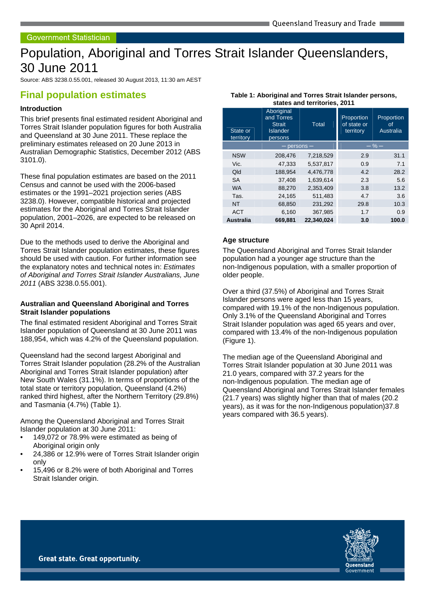# Population, Aboriginal and Torres Strait Islander Queenslanders, 30 June 2011

Source: ABS 3238.0.55.001, released 30 August 2013, 11:30 am AEST

## **Final population estimates**

## **Introduction**

This brief presents final estimated resident Aboriginal and Torres Strait Islander population figures for both Australia and Queensland at 30 June 2011. These replace the preliminary estimates released on 20 June 2013 in Australian Demographic Statistics, December 2012 (ABS 3101.0).

These final population estimates are based on the 2011 Census and cannot be used with the 2006-based estimates or the 1991–2021 projection series (ABS 3238.0). However, compatible historical and projected estimates for the Aboriginal and Torres Strait Islander population, 2001–2026, are expected to be released on 30 April 2014.

Due to the methods used to derive the Aboriginal and Torres Strait Islander population estimates, these figures should be used with caution. For further information see the explanatory notes and technical notes in: Estimates of Aboriginal and Torres Strait Islander Australians, June 2011 (ABS 3238.0.55.001).

#### **Australian and Queensland Aboriginal and Torres Strait Islander populations**

The final estimated resident Aboriginal and Torres Strait Islander population of Queensland at 30 June 2011 was 188,954, which was 4.2% of the Queensland population.

Queensland had the second largest Aboriginal and Torres Strait Islander population (28.2% of the Australian Aboriginal and Torres Strait Islander population) after New South Wales (31.1%). In terms of proportions of the total state or territory population, Queensland (4.2%) ranked third highest, after the Northern Territory (29.8%) and Tasmania (4.7%) (Table 1).

Among the Queensland Aboriginal and Torres Strait Islander population at 30 June 2011:

- 149,072 or 78.9% were estimated as being of Aboriginal origin only
- 24,386 or 12.9% were of Torres Strait Islander origin only
- 15,496 or 8.2% were of both Aboriginal and Torres Strait Islander origin.

| states and territories, 2011 |                                                                         |                 |                                        |                               |  |  |  |
|------------------------------|-------------------------------------------------------------------------|-----------------|----------------------------------------|-------------------------------|--|--|--|
| State or<br>territory        | Aboriginal<br>and Torres<br><b>Strait</b><br><b>Islander</b><br>persons | <b>Total</b>    | Proportion<br>of state or<br>territory | Proportion<br>0f<br>Australia |  |  |  |
|                              |                                                                         | $-$ persons $-$ |                                        | $-$ % $-$                     |  |  |  |
| <b>NSW</b>                   | 208,476                                                                 | 7,218,529       | 2.9                                    | 31.1                          |  |  |  |
| Vic.                         | 47,333                                                                  | 5,537,817       | 0.9                                    | 7.1                           |  |  |  |
| Qld                          | 188,954                                                                 | 4,476,778       | 4.2                                    | 28.2                          |  |  |  |
| <b>SA</b>                    | 37,408                                                                  | 1,639,614       | 2.3                                    | 5.6                           |  |  |  |
| <b>WA</b>                    | 88,270                                                                  | 2,353,409       | 3.8                                    | 13.2                          |  |  |  |
| Tas.                         | 24,165                                                                  | 511,483         | 4.7                                    | 3.6                           |  |  |  |
| <b>NT</b>                    | 68,850                                                                  | 231,292         | 29.8                                   | 10.3                          |  |  |  |
| <b>ACT</b>                   | 6,160                                                                   | 367,985         | 1.7                                    | 0.9                           |  |  |  |
| <b>Australia</b>             | 669,881                                                                 | 22,340,024      | 3.0                                    | 100.0                         |  |  |  |

#### **Table 1: Aboriginal and Torres Strait Islander persons, states and territories, 2011**

#### **Age structure**

The Queensland Aboriginal and Torres Strait Islander population had a younger age structure than the non-Indigenous population, with a smaller proportion of older people.

Over a third (37.5%) of Aboriginal and Torres Strait Islander persons were aged less than 15 years, compared with 19.1% of the non-Indigenous population. Only 3.1% of the Queensland Aboriginal and Torres Strait Islander population was aged 65 years and over, compared with 13.4% of the non-Indigenous population (Figure 1).

The median age of the Queensland Aboriginal and Torres Strait Islander population at 30 June 2011 was 21.0 years, compared with 37.2 years for the non-Indigenous population. The median age of Queensland Aboriginal and Torres Strait Islander females (21.7 years) was slightly higher than that of males (20.2 years), as it was for the non-Indigenous population)37.8 years compared with 36.5 years).

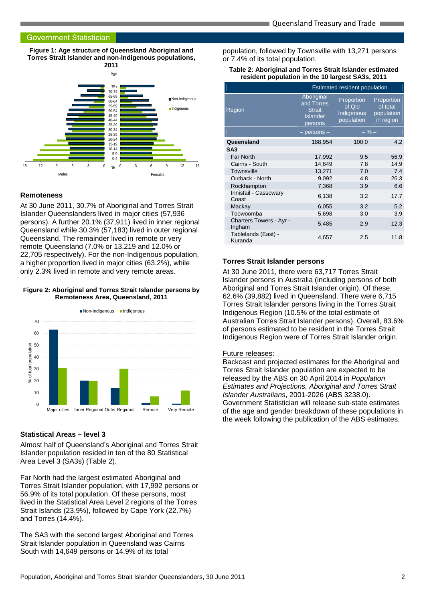#### **Government Statistician**

**Figure 1: Age structure of Queensland Aboriginal and Torres Strait Islander and non-Indigenous populations,** 



#### **Remoteness**

At 30 June 2011, 30.7% of Aboriginal and Torres Strait Islander Queenslanders lived in major cities (57,936 persons). A further 20.1% (37,911) lived in inner regional Queensland while 30.3% (57,183) lived in outer regional Queensland. The remainder lived in remote or very remote Queensland (7.0% or 13,219 and 12.0% or 22,705 respectively). For the non-Indigenous population, a higher proportion lived in major cities (63.2%), while only 2.3% lived in remote and very remote areas.

#### **Figure 2: Aboriginal and Torres Strait Islander persons by Remoteness Area, Queensland, 2011**



### **Statistical Areas – level 3**

Almost half of Queensland's Aboriginal and Torres Strait Islander population resided in ten of the 80 Statistical Area Level 3 (SA3s) (Table 2).

Far North had the largest estimated Aboriginal and Torres Strait Islander population, with 17,992 persons or 56.9% of its total population. Of these persons, most lived in the Statistical Area Level 2 regions of the Torres Strait Islands (23.9%), followed by Cape York (22.7%) and Torres (14.4%).

The SA3 with the second largest Aboriginal and Torres Strait Islander population in Queensland was Cairns South with 14,649 persons or 14.9% of its total

population, followed by Townsville with 13,271 persons or 7.4% of its total population.

#### **Table 2: Aboriginal and Torres Strait Islander estimated resident population in the 10 largest SA3s, 2011**

|                                   | Estimated resident population                                           |                                                  |                                                   |  |
|-----------------------------------|-------------------------------------------------------------------------|--------------------------------------------------|---------------------------------------------------|--|
| Region                            | Aboriginal<br>and Torres<br><b>Strait</b><br><b>Islander</b><br>persons | Proportion<br>of Qld<br>Indigenous<br>population | Proportion<br>of total<br>population<br>in region |  |
|                                   | $-$ persons $-$                                                         | $-$ % $-$                                        |                                                   |  |
| Queensland                        | 188,954                                                                 | 100.0                                            | 4.2                                               |  |
| SA <sub>3</sub>                   |                                                                         |                                                  |                                                   |  |
| Far North                         | 17,992                                                                  | 9.5                                              | 56.9                                              |  |
| Cairns - South                    | 14,649                                                                  | 7.8                                              | 14.9                                              |  |
| <b>Townsville</b>                 | 13,271                                                                  | 7.0                                              | 7.4                                               |  |
| Outback - North                   | 9,092                                                                   | 4.8                                              | 26.3                                              |  |
| Rockhampton                       | 7,368                                                                   | 3.9                                              | 6.6                                               |  |
| Innisfail - Cassowary<br>Coast    | 6,138                                                                   | 3.2                                              | 17.7                                              |  |
| Mackay                            | 6,055                                                                   | 3.2                                              | 5.2                                               |  |
| Toowoomba                         | 5,698                                                                   | 3.0                                              | 3.9                                               |  |
| Charters Towers - Ayr -<br>Ingham | 5,485                                                                   | 2.9                                              | 12.3                                              |  |
| Tablelands (East) -<br>Kuranda    | 4,657                                                                   | 2.5                                              | 11.8                                              |  |

#### **Torres Strait Islander persons**

At 30 June 2011, there were 63,717 Torres Strait Islander persons in Australia (including persons of both Aboriginal and Torres Strait Islander origin). Of these, 62.6% (39,882) lived in Queensland. There were 6,715 Torres Strait Islander persons living in the Torres Strait Indigenous Region (10.5% of the total estimate of Australian Torres Strait Islander persons). Overall, 83.6% of persons estimated to be resident in the Torres Strait Indigenous Region were of Torres Strait Islander origin.

#### Future releases:

Backcast and projected estimates for the Aboriginal and Torres Strait Islander population are expected to be released by the ABS on 30 April 2014 in Population Estimates and Projections, Aboriginal and Torres Strait Islander Australians, 2001-2026 (ABS 3238.0). Government Statistician will release sub-state estimates of the age and gender breakdown of these populations in the week following the publication of the ABS estimates.